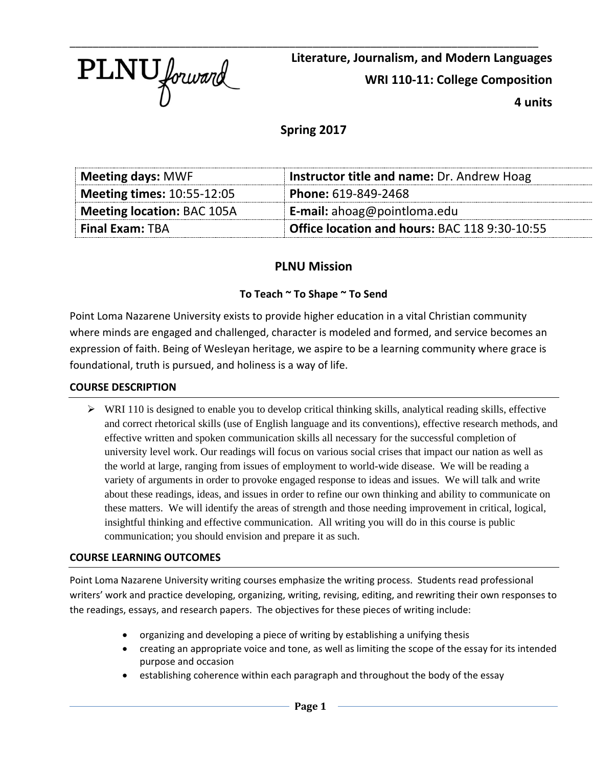

**Literature, Journalism, and Modern Languages WRI 110-11: College Composition 4 units**

**Spring 2017**

| <b>Meeting days: MWF</b>          | Instructor title and name: Dr. Andrew Hoag    |
|-----------------------------------|-----------------------------------------------|
| <b>Meeting times: 10:55-12:05</b> | Phone: 619-849-2468                           |
| <b>Meeting location: BAC 105A</b> | <b>E-mail:</b> ahoag@pointloma.edu            |
| <b>Final Exam: TBA</b>            | Office location and hours: BAC 118 9:30-10:55 |

# **PLNU Mission**

# **To Teach ~ To Shape ~ To Send**

Point Loma Nazarene University exists to provide higher education in a vital Christian community where minds are engaged and challenged, character is modeled and formed, and service becomes an expression of faith. Being of Wesleyan heritage, we aspire to be a learning community where grace is foundational, truth is pursued, and holiness is a way of life.

## **COURSE DESCRIPTION**

 $\triangleright$  WRI 110 is designed to enable you to develop critical thinking skills, analytical reading skills, effective and correct rhetorical skills (use of English language and its conventions), effective research methods, and effective written and spoken communication skills all necessary for the successful completion of university level work. Our readings will focus on various social crises that impact our nation as well as the world at large, ranging from issues of employment to world-wide disease. We will be reading a variety of arguments in order to provoke engaged response to ideas and issues. We will talk and write about these readings, ideas, and issues in order to refine our own thinking and ability to communicate on these matters. We will identify the areas of strength and those needing improvement in critical, logical, insightful thinking and effective communication. All writing you will do in this course is public communication; you should envision and prepare it as such.

## **COURSE LEARNING OUTCOMES**

Point Loma Nazarene University writing courses emphasize the writing process. Students read professional writers' work and practice developing, organizing, writing, revising, editing, and rewriting their own responses to the readings, essays, and research papers. The objectives for these pieces of writing include:

- organizing and developing a piece of writing by establishing a unifying thesis
- creating an appropriate voice and tone, as well as limiting the scope of the essay for its intended purpose and occasion
- establishing coherence within each paragraph and throughout the body of the essay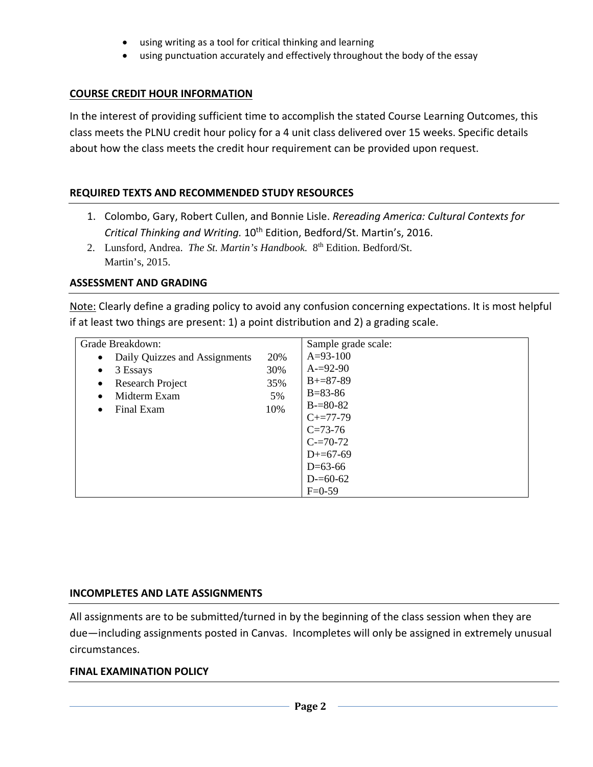- using writing as a tool for critical thinking and learning
- using punctuation accurately and effectively throughout the body of the essay

## **COURSE CREDIT HOUR INFORMATION**

In the interest of providing sufficient time to accomplish the stated Course Learning Outcomes, this class meets the PLNU credit hour policy for a 4 unit class delivered over 15 weeks. Specific details about how the class meets the credit hour requirement can be provided upon request.

#### **REQUIRED TEXTS AND RECOMMENDED STUDY RESOURCES**

- 1. Colombo, Gary, Robert Cullen, and Bonnie Lisle. *Rereading America: Cultural Contexts for Critical Thinking and Writing.* 10th Edition, Bedford/St. Martin's, 2016.
- 2. Lunsford, Andrea. *The St. Martin's Handbook.* 8<sup>th</sup> Edition. Bedford/St. Martin's, 2015.

#### **ASSESSMENT AND GRADING**

Note: Clearly define a grading policy to avoid any confusion concerning expectations. It is most helpful if at least two things are present: 1) a point distribution and 2) a grading scale.

| Grade Breakdown:                           |     | Sample grade scale: |
|--------------------------------------------|-----|---------------------|
| Daily Quizzes and Assignments<br>$\bullet$ | 20% | $A=93-100$          |
| 3 Essays<br>$\bullet$                      | 30% | $A = 92 - 90$       |
| Research Project<br>$\bullet$              | 35% | $B+=87-89$          |
| Midterm Exam<br>$\bullet$                  | 5%  | $B = 83 - 86$       |
| Final Exam<br>$\bullet$                    | 10% | $B = 80-82$         |
|                                            |     | $C+=77-79$          |
|                                            |     | $C = 73-76$         |
|                                            |     | $C = 70-72$         |
|                                            |     | $D+=67-69$          |
|                                            |     | $D=63-66$           |
|                                            |     | $D = 60 - 62$       |
|                                            |     | $F=0-59$            |

## **INCOMPLETES AND LATE ASSIGNMENTS**

All assignments are to be submitted/turned in by the beginning of the class session when they are due—including assignments posted in Canvas. Incompletes will only be assigned in extremely unusual circumstances.

#### **FINAL EXAMINATION POLICY**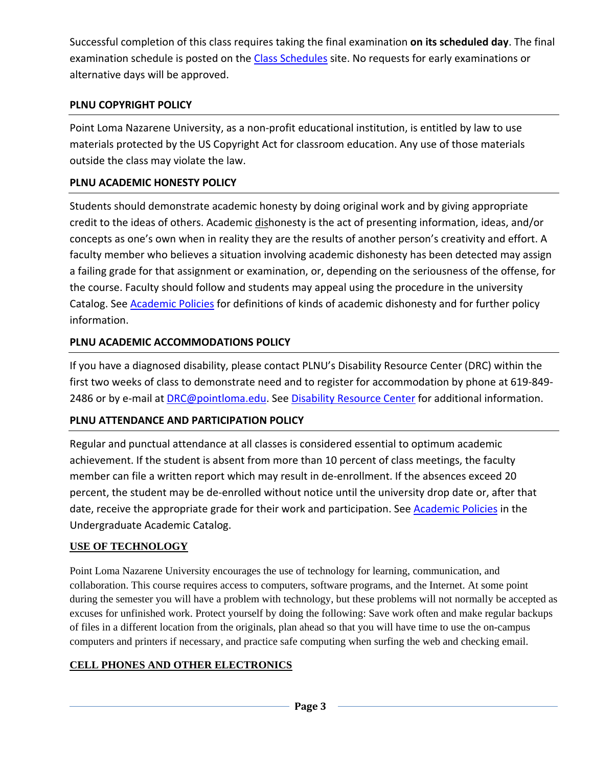Successful completion of this class requires taking the final examination **on its scheduled day**. The final examination schedule is posted on the [Class Schedules](http://www.pointloma.edu/experience/academics/class-schedules) site. No requests for early examinations or alternative days will be approved.

# **PLNU COPYRIGHT POLICY**

Point Loma Nazarene University, as a non-profit educational institution, is entitled by law to use materials protected by the US Copyright Act for classroom education. Any use of those materials outside the class may violate the law.

# **PLNU ACADEMIC HONESTY POLICY**

Students should demonstrate academic honesty by doing original work and by giving appropriate credit to the ideas of others. Academic dishonesty is the act of presenting information, ideas, and/or concepts as one's own when in reality they are the results of another person's creativity and effort. A faculty member who believes a situation involving academic dishonesty has been detected may assign a failing grade for that assignment or examination, or, depending on the seriousness of the offense, for the course. Faculty should follow and students may appeal using the procedure in the university Catalog. See [Academic Policies](http://catalog.pointloma.edu/content.php?catoid=18&navoid=1278) for definitions of kinds of academic dishonesty and for further policy information.

# **PLNU ACADEMIC ACCOMMODATIONS POLICY**

If you have a diagnosed disability, please contact PLNU's Disability Resource Center (DRC) within the first two weeks of class to demonstrate need and to register for accommodation by phone at 619-849- 2486 or by e-mail at **DRC@pointloma.edu.** See [Disability Resource Center](http://www.pointloma.edu/experience/offices/administrative-offices/academic-advising-office/disability-resource-center) for additional information.

# **PLNU ATTENDANCE AND PARTICIPATION POLICY**

Regular and punctual attendance at all classes is considered essential to optimum academic achievement. If the student is absent from more than 10 percent of class meetings, the faculty member can file a written report which may result in de-enrollment. If the absences exceed 20 percent, the student may be de-enrolled without notice until the university drop date or, after that date, receive the appropriate grade for their work and participation. See **Academic Policies** in the Undergraduate Academic Catalog.

# **USE OF TECHNOLOGY**

Point Loma Nazarene University encourages the use of technology for learning, communication, and collaboration. This course requires access to computers, software programs, and the Internet. At some point during the semester you will have a problem with technology, but these problems will not normally be accepted as excuses for unfinished work. Protect yourself by doing the following: Save work often and make regular backups of files in a different location from the originals, plan ahead so that you will have time to use the on-campus computers and printers if necessary, and practice safe computing when surfing the web and checking email.

# **CELL PHONES AND OTHER ELECTRONICS**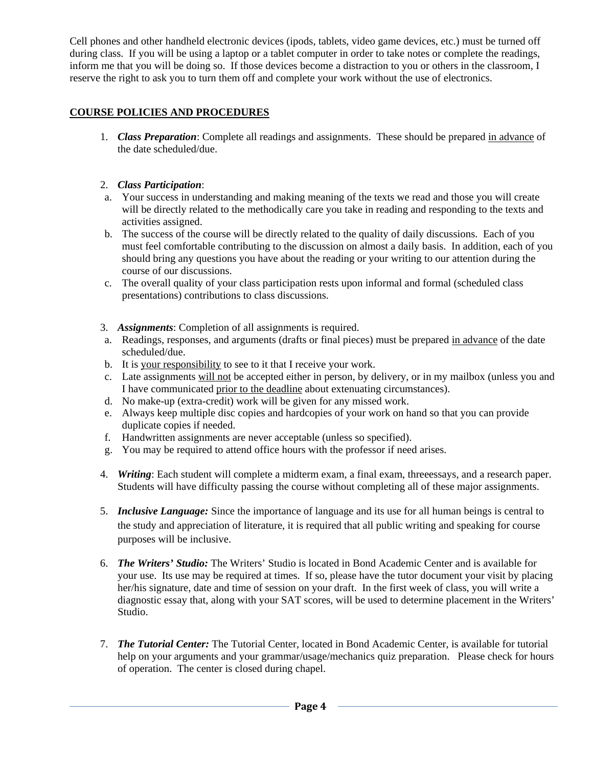Cell phones and other handheld electronic devices (ipods, tablets, video game devices, etc.) must be turned off during class. If you will be using a laptop or a tablet computer in order to take notes or complete the readings, inform me that you will be doing so. If those devices become a distraction to you or others in the classroom, I reserve the right to ask you to turn them off and complete your work without the use of electronics.

## **COURSE POLICIES AND PROCEDURES**

1. *Class Preparation*: Complete all readings and assignments. These should be prepared in advance of the date scheduled/due.

#### 2. *Class Participation*:

- a. Your success in understanding and making meaning of the texts we read and those you will create will be directly related to the methodically care you take in reading and responding to the texts and activities assigned.
- b. The success of the course will be directly related to the quality of daily discussions. Each of you must feel comfortable contributing to the discussion on almost a daily basis. In addition, each of you should bring any questions you have about the reading or your writing to our attention during the course of our discussions.
- c. The overall quality of your class participation rests upon informal and formal (scheduled class presentations) contributions to class discussions.
- 3. *Assignments*: Completion of all assignments is required.
- a. Readings, responses, and arguments (drafts or final pieces) must be prepared in advance of the date scheduled/due.
- b. It is your responsibility to see to it that I receive your work.
- c. Late assignments will not be accepted either in person, by delivery, or in my mailbox (unless you and I have communicated prior to the deadline about extenuating circumstances).
- d. No make-up (extra-credit) work will be given for any missed work.
- e. Always keep multiple disc copies and hardcopies of your work on hand so that you can provide duplicate copies if needed.
- f. Handwritten assignments are never acceptable (unless so specified).
- g. You may be required to attend office hours with the professor if need arises.
- 4. *Writing*: Each student will complete a midterm exam, a final exam, threeessays, and a research paper. Students will have difficulty passing the course without completing all of these major assignments.
- 5. *Inclusive Language:* Since the importance of language and its use for all human beings is central to the study and appreciation of literature, it is required that all public writing and speaking for course purposes will be inclusive.
- 6. *The Writers' Studio:* The Writers' Studio is located in Bond Academic Center and is available for your use. Its use may be required at times. If so, please have the tutor document your visit by placing her/his signature, date and time of session on your draft. In the first week of class, you will write a diagnostic essay that, along with your SAT scores, will be used to determine placement in the Writers' Studio.
- 7. *The Tutorial Center:* The Tutorial Center, located in Bond Academic Center, is available for tutorial help on your arguments and your grammar/usage/mechanics quiz preparation. Please check for hours of operation. The center is closed during chapel.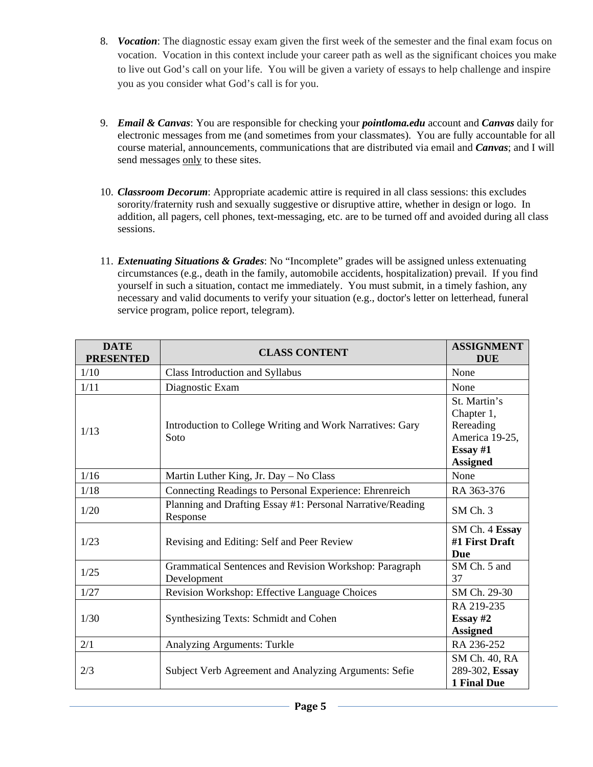- 8. *Vocation*: The diagnostic essay exam given the first week of the semester and the final exam focus on vocation. Vocation in this context include your career path as well as the significant choices you make to live out God's call on your life. You will be given a variety of essays to help challenge and inspire you as you consider what God's call is for you.
- 9. *Email & Canvas*: You are responsible for checking your *pointloma.edu* account and *Canvas* daily for electronic messages from me (and sometimes from your classmates). You are fully accountable for all course material, announcements, communications that are distributed via email and *Canvas*; and I will send messages only to these sites.
- 10. *Classroom Decorum*: Appropriate academic attire is required in all class sessions: this excludes sorority/fraternity rush and sexually suggestive or disruptive attire, whether in design or logo. In addition, all pagers, cell phones, text-messaging, etc. are to be turned off and avoided during all class sessions.
- 11. *Extenuating Situations & Grades*: No "Incomplete" grades will be assigned unless extenuating circumstances (e.g., death in the family, automobile accidents, hospitalization) prevail. If you find yourself in such a situation, contact me immediately. You must submit, in a timely fashion, any necessary and valid documents to verify your situation (e.g., doctor's letter on letterhead, funeral service program, police report, telegram).

| <b>DATE</b><br><b>PRESENTED</b> | <b>CLASS CONTENT</b>                                                   | <b>ASSIGNMENT</b><br><b>DUE</b>                                                            |
|---------------------------------|------------------------------------------------------------------------|--------------------------------------------------------------------------------------------|
| 1/10                            | Class Introduction and Syllabus                                        | None                                                                                       |
| 1/11                            | Diagnostic Exam                                                        | None                                                                                       |
| 1/13                            | Introduction to College Writing and Work Narratives: Gary<br>Soto      | St. Martin's<br>Chapter 1,<br>Rereading<br>America 19-25,<br>Essay $#1$<br><b>Assigned</b> |
| 1/16                            | Martin Luther King, Jr. Day - No Class                                 | None                                                                                       |
| 1/18                            | Connecting Readings to Personal Experience: Ehrenreich                 | RA 363-376                                                                                 |
| 1/20                            | Planning and Drafting Essay #1: Personal Narrative/Reading<br>Response | SM Ch. 3                                                                                   |
| 1/23                            | Revising and Editing: Self and Peer Review                             | SM Ch. 4 Essay<br>#1 First Draft<br><b>Due</b>                                             |
| $1/25$                          | Grammatical Sentences and Revision Workshop: Paragraph<br>Development  | SM Ch. 5 and<br>37                                                                         |
| 1/27                            | Revision Workshop: Effective Language Choices                          | SM Ch. 29-30                                                                               |
| 1/30                            | Synthesizing Texts: Schmidt and Cohen                                  | RA 219-235<br>Essay $#2$<br><b>Assigned</b>                                                |
| 2/1                             | Analyzing Arguments: Turkle                                            | RA 236-252                                                                                 |
| 2/3                             | Subject Verb Agreement and Analyzing Arguments: Sefie                  | SM Ch. 40, RA<br>289-302, Essay<br><b>1 Final Due</b>                                      |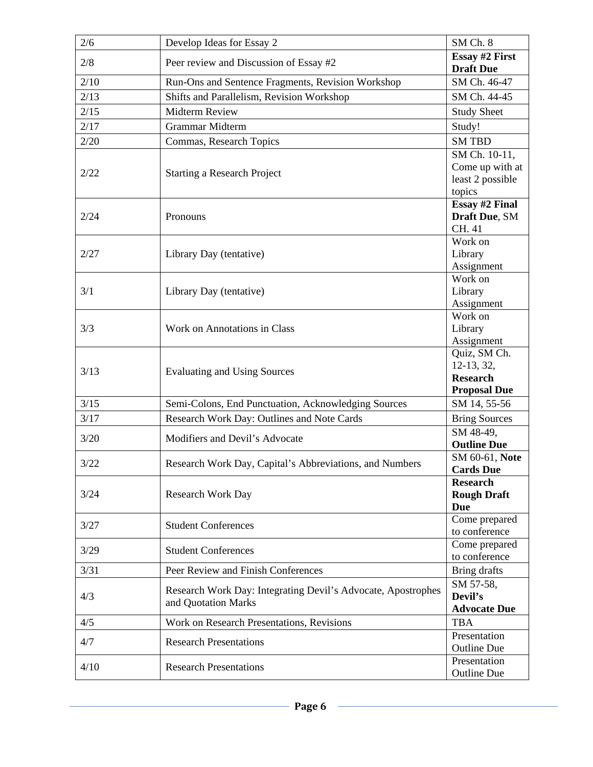| 2/6  | Develop Ideas for Essay 2                                    | SM Ch. 8                           |
|------|--------------------------------------------------------------|------------------------------------|
| 2/8  | Peer review and Discussion of Essay #2                       |                                    |
|      |                                                              | <b>Draft Due</b>                   |
| 2/10 | Run-Ons and Sentence Fragments, Revision Workshop            | SM Ch. 46-47                       |
| 2/13 | Shifts and Parallelism, Revision Workshop                    | SM Ch. 44-45                       |
| 2/15 | <b>Midterm Review</b>                                        | <b>Study Sheet</b>                 |
| 2/17 | Grammar Midterm                                              | Study!                             |
| 2/20 | Commas, Research Topics                                      | <b>SM TBD</b>                      |
|      | <b>Starting a Research Project</b>                           | SM Ch. 10-11,                      |
| 2/22 |                                                              | Come up with at                    |
|      |                                                              | least 2 possible<br>topics         |
|      |                                                              |                                    |
| 2/24 | Pronouns                                                     |                                    |
|      |                                                              | Draft Due, SM<br>CH. 41            |
|      |                                                              | Work on                            |
| 2/27 | Library Day (tentative)                                      | Library                            |
|      |                                                              | Assignment                         |
|      |                                                              | Work on                            |
| 3/1  | Library Day (tentative)                                      | Library                            |
|      |                                                              | Assignment                         |
|      |                                                              | Work on                            |
| 3/3  | Work on Annotations in Class                                 | Library                            |
|      |                                                              | Assignment<br>Quiz, SM Ch.         |
|      | <b>Evaluating and Using Sources</b>                          | 12-13, 32,                         |
| 3/13 |                                                              | <b>Research</b>                    |
|      |                                                              | <b>Proposal Due</b>                |
| 3/15 | Semi-Colons, End Punctuation, Acknowledging Sources          | SM 14, 55-56                       |
| 3/17 | Research Work Day: Outlines and Note Cards                   | <b>Bring Sources</b>               |
| 3/20 | Modifiers and Devil's Advocate                               | SM 48-49,                          |
|      |                                                              | <b>Outline Due</b>                 |
| 3/22 | Research Work Day, Capital's Abbreviations, and Numbers      | SM 60-61, Note                     |
|      |                                                              | <b>Cards Due</b>                   |
|      |                                                              | <b>Research</b>                    |
| 3/24 | <b>Research Work Day</b>                                     | <b>Rough Draft</b><br><b>Due</b>   |
|      |                                                              | Come prepared                      |
| 3/27 | <b>Student Conferences</b>                                   | to conference                      |
|      |                                                              | Come prepared                      |
| 3/29 | <b>Student Conferences</b>                                   | to conference                      |
| 3/31 | Peer Review and Finish Conferences                           | Bring drafts                       |
| 4/3  | Research Work Day: Integrating Devil's Advocate, Apostrophes | SM 57-58,                          |
|      | and Quotation Marks                                          | Devil's                            |
|      |                                                              | <b>Advocate Due</b>                |
| 4/5  | Work on Research Presentations, Revisions                    | <b>TBA</b>                         |
| 4/7  | <b>Research Presentations</b>                                | Presentation                       |
|      |                                                              | <b>Outline Due</b><br>Presentation |
| 4/10 | <b>Research Presentations</b>                                | <b>Outline Due</b>                 |
|      |                                                              |                                    |